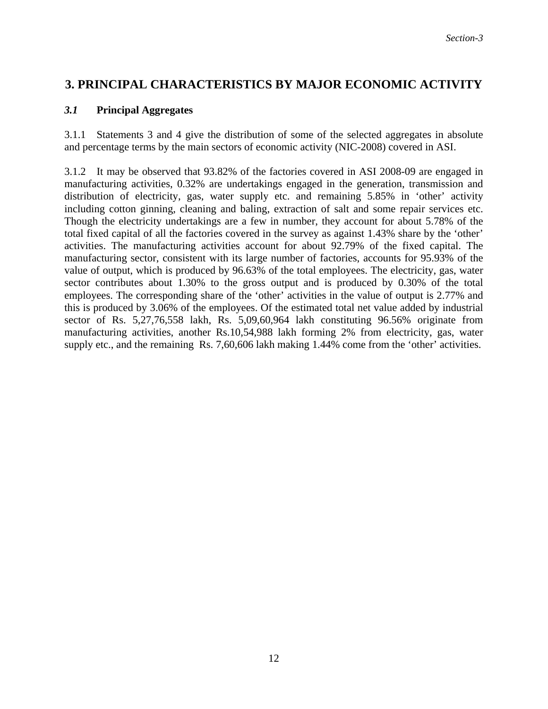## **3. PRINCIPAL CHARACTERISTICS BY MAJOR ECONOMIC ACTIVITY**

## *3.1* **Principal Aggregates**

3.1.1 Statements 3 and 4 give the distribution of some of the selected aggregates in absolute and percentage terms by the main sectors of economic activity (NIC-2008) covered in ASI.

3.1.2 It may be observed that 93.82% of the factories covered in ASI 2008-09 are engaged in manufacturing activities, 0.32% are undertakings engaged in the generation, transmission and distribution of electricity, gas, water supply etc. and remaining 5.85% in 'other' activity including cotton ginning, cleaning and baling, extraction of salt and some repair services etc. Though the electricity undertakings are a few in number, they account for about 5.78% of the total fixed capital of all the factories covered in the survey as against 1.43% share by the 'other' activities. The manufacturing activities account for about 92.79% of the fixed capital. The manufacturing sector, consistent with its large number of factories, accounts for 95.93% of the value of output, which is produced by 96.63% of the total employees. The electricity, gas, water sector contributes about 1.30% to the gross output and is produced by 0.30% of the total employees. The corresponding share of the 'other' activities in the value of output is 2.77% and this is produced by 3.06% of the employees. Of the estimated total net value added by industrial sector of Rs. 5,27,76,558 lakh, Rs. 5,09,60,964 lakh constituting 96.56% originate from manufacturing activities, another Rs.10,54,988 lakh forming 2% from electricity, gas, water supply etc., and the remaining Rs. 7,60,606 lakh making 1.44% come from the 'other' activities.